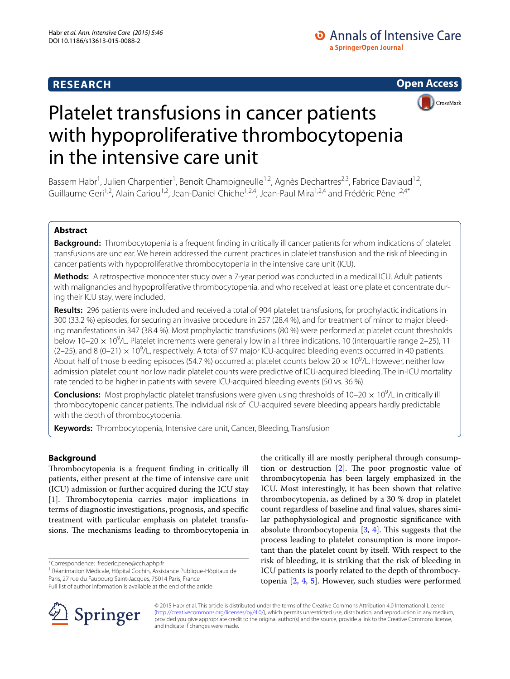# **RESEARCH**



**CrossMark** 

# Platelet transfusions in cancer patients with hypoproliferative thrombocytopenia in the intensive care unit

Bassem Habr<sup>1</sup>, Julien Charpentier<sup>1</sup>, Benoît Champigneulle<sup>1,2</sup>, Agnès Dechartres<sup>2,3</sup>, Fabrice Daviaud<sup>1,2</sup>, Guillaume Geri<sup>1,2</sup>, Alain Cariou<sup>1,2</sup>, Jean-Daniel Chiche<sup>1,2,4</sup>, Jean-Paul Mira<sup>1,2,4</sup> and Frédéric Pène<sup>1,2,4\*</sup>

# **Abstract**

**Background:** Thrombocytopenia is a frequent finding in critically ill cancer patients for whom indications of platelet transfusions are unclear. We herein addressed the current practices in platelet transfusion and the risk of bleeding in cancer patients with hypoproliferative thrombocytopenia in the intensive care unit (ICU).

**Methods:** A retrospective monocenter study over a 7-year period was conducted in a medical ICU. Adult patients with malignancies and hypoproliferative thrombocytopenia, and who received at least one platelet concentrate during their ICU stay, were included.

**Results:** 296 patients were included and received a total of 904 platelet transfusions, for prophylactic indications in 300 (33.2 %) episodes, for securing an invasive procedure in 257 (28.4 %), and for treatment of minor to major bleed‑ ing manifestations in 347 (38.4 %). Most prophylactic transfusions (80 %) were performed at platelet count thresholds below 10–20  $\times$  10<sup>9</sup>/L. Platelet increments were generally low in all three indications, 10 (interquartile range 2–25), 11  $(2-25)$ , and 8  $(0-21) \times 10^9$ /L, respectively. A total of 97 major ICU-acquired bleeding events occurred in 40 patients. About half of those bleeding episodes (54.7 %) occurred at platelet counts below 20  $\times$  10<sup>9</sup>/L. However, neither low admission platelet count nor low nadir platelet counts were predictive of ICU-acquired bleeding. The in-ICU mortality rate tended to be higher in patients with severe ICU-acquired bleeding events (50 vs. 36 %).

**Conclusions:** Most prophylactic platelet transfusions were given using thresholds of 10–20  $\times$  10<sup>9</sup>/L in critically ill thrombocytopenic cancer patients. The individual risk of ICU-acquired severe bleeding appears hardly predictable with the depth of thrombocytopenia.

**Keywords:** Thrombocytopenia, Intensive care unit, Cancer, Bleeding, Transfusion

# **Background**

Thrombocytopenia is a frequent finding in critically ill patients, either present at the time of intensive care unit (ICU) admission or further acquired during the ICU stay [[1\]](#page-6-0). Thrombocytopenia carries major implications in terms of diagnostic investigations, prognosis, and specific treatment with particular emphasis on platelet transfusions. The mechanisms leading to thrombocytopenia in

\*Correspondence: frederic.pene@cch.aphp.fr

the critically ill are mostly peripheral through consumption or destruction [\[2](#page-6-1)]. The poor prognostic value of thrombocytopenia has been largely emphasized in the ICU. Most interestingly, it has been shown that relative thrombocytopenia, as defined by a 30 % drop in platelet count regardless of baseline and final values, shares similar pathophysiological and prognostic significance with absolute thrombocytopenia  $[3, 4]$  $[3, 4]$  $[3, 4]$  $[3, 4]$ . This suggests that the process leading to platelet consumption is more important than the platelet count by itself. With respect to the risk of bleeding, it is striking that the risk of bleeding in ICU patients is poorly related to the depth of thrombocytopenia [[2,](#page-6-1) [4](#page-6-3), [5\]](#page-6-4). However, such studies were performed



© 2015 Habr et al. This article is distributed under the terms of the Creative Commons Attribution 4.0 International License [\(http://creativecommons.org/licenses/by/4.0/\)](http://creativecommons.org/licenses/by/4.0/), which permits unrestricted use, distribution, and reproduction in any medium, provided you give appropriate credit to the original author(s) and the source, provide a link to the Creative Commons license, and indicate if changes were made.

<sup>&</sup>lt;sup>1</sup> Réanimation Médicale, Hôpital Cochin, Assistance Publique-Hôpitaux de Paris, 27 rue du Faubourg Saint‑Jacques, 75014 Paris, France Full list of author information is available at the end of the article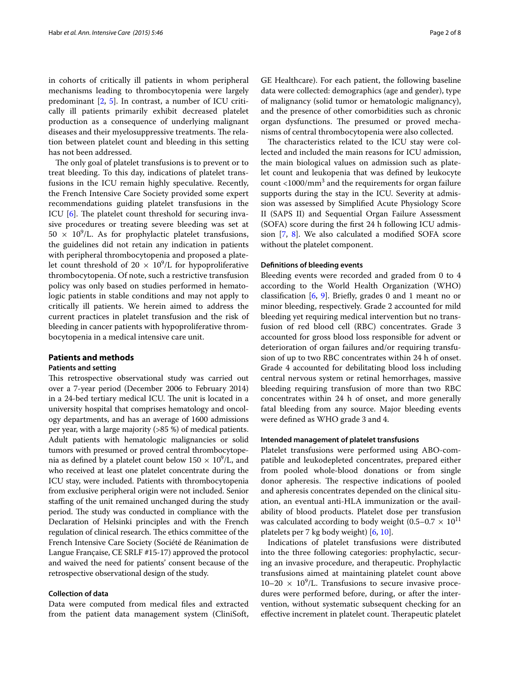in cohorts of critically ill patients in whom peripheral mechanisms leading to thrombocytopenia were largely predominant [[2,](#page-6-1) [5](#page-6-4)]. In contrast, a number of ICU critically ill patients primarily exhibit decreased platelet production as a consequence of underlying malignant diseases and their myelosuppressive treatments. The relation between platelet count and bleeding in this setting has not been addressed.

The only goal of platelet transfusions is to prevent or to treat bleeding. To this day, indications of platelet transfusions in the ICU remain highly speculative. Recently, the French Intensive Care Society provided some expert recommendations guiding platelet transfusions in the ICU [[6\]](#page-6-5). The platelet count threshold for securing invasive procedures or treating severe bleeding was set at  $50 \times 10^9$ /L. As for prophylactic platelet transfusions, the guidelines did not retain any indication in patients with peripheral thrombocytopenia and proposed a platelet count threshold of  $20 \times 10^9$ /L for hypoproliferative thrombocytopenia. Of note, such a restrictive transfusion policy was only based on studies performed in hematologic patients in stable conditions and may not apply to critically ill patients. We herein aimed to address the current practices in platelet transfusion and the risk of bleeding in cancer patients with hypoproliferative thrombocytopenia in a medical intensive care unit.

## **Patients and methods**

#### **Patients and setting**

This retrospective observational study was carried out over a 7-year period (December 2006 to February 2014) in a 24-bed tertiary medical ICU. The unit is located in a university hospital that comprises hematology and oncology departments, and has an average of 1600 admissions per year, with a large majority (>85 %) of medical patients. Adult patients with hematologic malignancies or solid tumors with presumed or proved central thrombocytopenia as defined by a platelet count below  $150 \times 10^9$ /L, and who received at least one platelet concentrate during the ICU stay, were included. Patients with thrombocytopenia from exclusive peripheral origin were not included. Senior staffing of the unit remained unchanged during the study period. The study was conducted in compliance with the Declaration of Helsinki principles and with the French regulation of clinical research. The ethics committee of the French Intensive Care Society (Société de Réanimation de Langue Française, CE SRLF #15-17) approved the protocol and waived the need for patients' consent because of the retrospective observational design of the study.

# **Collection of data**

Data were computed from medical files and extracted from the patient data management system (CliniSoft,

GE Healthcare). For each patient, the following baseline data were collected: demographics (age and gender), type of malignancy (solid tumor or hematologic malignancy), and the presence of other comorbidities such as chronic organ dysfunctions. The presumed or proved mechanisms of central thrombocytopenia were also collected.

The characteristics related to the ICU stay were collected and included the main reasons for ICU admission, the main biological values on admission such as platelet count and leukopenia that was defined by leukocyte count  $\langle 1000/mm^3$  and the requirements for organ failure supports during the stay in the ICU. Severity at admission was assessed by Simplified Acute Physiology Score II (SAPS II) and Sequential Organ Failure Assessment (SOFA) score during the first 24 h following ICU admission [\[7](#page-6-6), [8](#page-6-7)]. We also calculated a modified SOFA score without the platelet component.

#### **Definitions of bleeding events**

Bleeding events were recorded and graded from 0 to 4 according to the World Health Organization (WHO) classification [\[6,](#page-6-5) [9\]](#page-6-8). Briefly, grades 0 and 1 meant no or minor bleeding, respectively. Grade 2 accounted for mild bleeding yet requiring medical intervention but no transfusion of red blood cell (RBC) concentrates. Grade 3 accounted for gross blood loss responsible for advent or deterioration of organ failures and/or requiring transfusion of up to two RBC concentrates within 24 h of onset. Grade 4 accounted for debilitating blood loss including central nervous system or retinal hemorrhages, massive bleeding requiring transfusion of more than two RBC concentrates within 24 h of onset, and more generally fatal bleeding from any source. Major bleeding events were defined as WHO grade 3 and 4.

#### **Intended management of platelet transfusions**

Platelet transfusions were performed using ABO-compatible and leukodepleted concentrates, prepared either from pooled whole-blood donations or from single donor apheresis. The respective indications of pooled and apheresis concentrates depended on the clinical situation, an eventual anti-HLA immunization or the availability of blood products. Platelet dose per transfusion was calculated according to body weight  $(0.5-0.7 \times 10^{11})$ platelets per 7 kg body weight) [[6,](#page-6-5) [10](#page-6-9)].

Indications of platelet transfusions were distributed into the three following categories: prophylactic, securing an invasive procedure, and therapeutic. Prophylactic transfusions aimed at maintaining platelet count above  $10-20 \times 10^9$ /L. Transfusions to secure invasive procedures were performed before, during, or after the intervention, without systematic subsequent checking for an effective increment in platelet count. Therapeutic platelet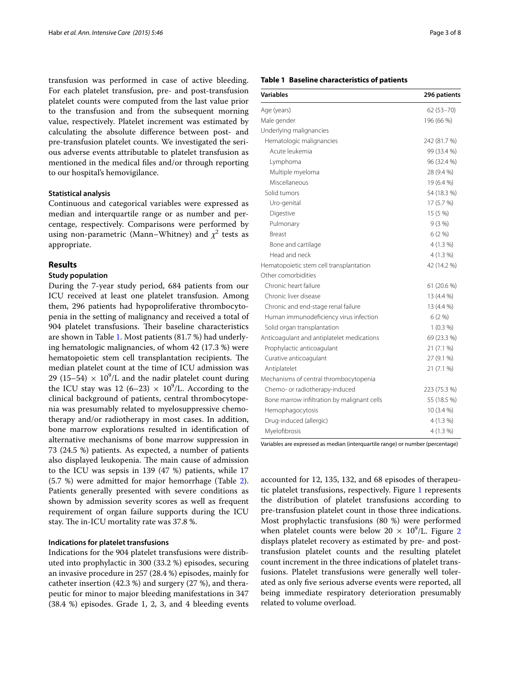transfusion was performed in case of active bleeding. For each platelet transfusion, pre- and post-transfusion platelet counts were computed from the last value prior to the transfusion and from the subsequent morning value, respectively. Platelet increment was estimated by calculating the absolute difference between post- and pre-transfusion platelet counts. We investigated the serious adverse events attributable to platelet transfusion as mentioned in the medical files and/or through reporting to our hospital's hemovigilance.

## **Statistical analysis**

Continuous and categorical variables were expressed as median and interquartile range or as number and percentage, respectively. Comparisons were performed by using non-parametric (Mann–Whitney) and  $\chi^2$  tests as appropriate.

## **Results**

## **Study population**

During the 7-year study period, 684 patients from our ICU received at least one platelet transfusion. Among them, 296 patients had hypoproliferative thrombocytopenia in the setting of malignancy and received a total of 904 platelet transfusions. Their baseline characteristics are shown in Table [1](#page-2-0). Most patients (81.7 %) had underlying hematologic malignancies, of whom 42 (17.3 %) were hematopoietic stem cell transplantation recipients. The median platelet count at the time of ICU admission was 29 (15–54)  $\times$  10<sup>9</sup>/L and the nadir platelet count during the ICU stay was 12 (6–23)  $\times$  10<sup>9</sup>/L. According to the clinical background of patients, central thrombocytopenia was presumably related to myelosuppressive chemotherapy and/or radiotherapy in most cases. In addition, bone marrow explorations resulted in identification of alternative mechanisms of bone marrow suppression in 73 (24.5 %) patients. As expected, a number of patients also displayed leukopenia. The main cause of admission to the ICU was sepsis in 139 (47 %) patients, while 17 (5.7 %) were admitted for major hemorrhage (Table [2](#page-3-0)). Patients generally presented with severe conditions as shown by admission severity scores as well as frequent requirement of organ failure supports during the ICU stay. The in-ICU mortality rate was 37.8 %.

#### **Indications for platelet transfusions**

Indications for the 904 platelet transfusions were distributed into prophylactic in 300 (33.2 %) episodes, securing an invasive procedure in 257 (28.4 %) episodes, mainly for catheter insertion (42.3 %) and surgery (27 %), and therapeutic for minor to major bleeding manifestations in 347  $(38.4 \%)$  episodes. Grade 1, 2, 3, and 4 bleeding events

# <span id="page-2-0"></span>**Table 1 Baseline characteristics of patients**

| <b>Variables</b>                            | 296 patients |
|---------------------------------------------|--------------|
| Age (years)                                 | 62 (53-70)   |
| Male gender                                 | 196 (66 %)   |
| Underlying malignancies                     |              |
| Hematologic malignancies                    | 242 (81.7%)  |
| Acute leukemia                              | 99 (33.4 %)  |
| Lymphoma                                    | 96 (32.4 %)  |
| Multiple myeloma                            | 28 (9.4 %)   |
| Miscellaneous                               | 19 (6.4 %)   |
| Solid tumors                                | 54 (18.3 %)  |
| Uro-genital                                 | 17 (5.7 %)   |
| Digestive                                   | 15 (5 %)     |
| Pulmonary                                   | 9(3%)        |
| Breast                                      | 6(2%)        |
| Bone and cartilage                          | $4(1.3\%)$   |
| Head and neck                               | $4(1.3\%)$   |
| Hematopoietic stem cell transplantation     | 42 (14.2 %)  |
| Other comorbidities                         |              |
| Chronic heart failure                       | 61 (20.6 %)  |
| Chronic liver disease                       | 13 (4.4 %)   |
| Chronic and end-stage renal failure         | 13 (4.4 %)   |
| Human immunodeficiency virus infection      | 6(2%)        |
| Solid organ transplantation                 | $1(0.3\%)$   |
| Anticoagulant and antiplatelet medications  | 69 (23.3 %)  |
| Prophylactic anticoagulant                  | 21 (7.1 %)   |
| Curative anticoagulant                      | 27 (9.1 %)   |
| Antiplatelet                                | 21 (7.1 %)   |
| Mechanisms of central thrombocytopenia      |              |
| Chemo- or radiotherapy-induced              | 223 (75.3 %) |
| Bone marrow infiltration by malignant cells | 55 (18.5 %)  |
| Hemophagocytosis                            | 10 (3.4 %)   |
| Drug-induced (allergic)                     | $4(1.3\%)$   |
| Myelofibrosis                               | 4 (1.3 %)    |

Variables are expressed as median (interquartile range) or number (percentage)

accounted for 12, 135, 132, and 68 episodes of therapeutic platelet transfusions, respectively. Figure [1](#page-4-0) represents the distribution of platelet transfusions according to pre-transfusion platelet count in those three indications. Most prophylactic transfusions (80 %) were performed when platelet counts were below  $20 \times 10^9$  $20 \times 10^9$ /L. Figure 2 displays platelet recovery as estimated by pre- and posttransfusion platelet counts and the resulting platelet count increment in the three indications of platelet transfusions. Platelet transfusions were generally well tolerated as only five serious adverse events were reported, all being immediate respiratory deterioration presumably related to volume overload.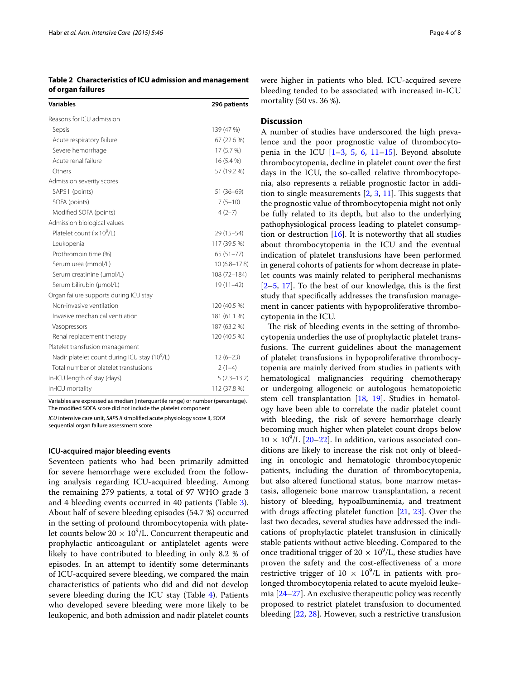<span id="page-3-0"></span>**Table 2 Characteristics of ICU admission and management of organ failures**

| <b>Variables</b>                                          | 296 patients     |
|-----------------------------------------------------------|------------------|
| Reasons for ICU admission                                 |                  |
| Sepsis                                                    | 139 (47 %)       |
| Acute respiratory failure                                 | 67 (22.6 %)      |
| Severe hemorrhage                                         | 17 (5.7 %)       |
| Acute renal failure                                       | 16 (5.4 %)       |
| Others                                                    | 57 (19.2 %)      |
| Admission severity scores                                 |                  |
| SAPS II (points)                                          | $51(36-69)$      |
| SOFA (points)                                             | $7(5-10)$        |
| Modified SOFA (points)                                    | $4(2-7)$         |
| Admission biological values                               |                  |
| Platelet count $(x10^9/L)$                                | $29(15-54)$      |
| Leukopenia                                                | 117 (39.5 %)     |
| Prothrombin time (%)                                      | $65(51 - 77)$    |
| Serum urea (mmol/L)                                       | $10(6.8 - 17.8)$ |
| Serum creatinine (µmol/L)                                 | 108 (72-184)     |
| Serum bilirubin (µmol/L)                                  | $19(11-42)$      |
| Organ failure supports during ICU stay                    |                  |
| Non-invasive ventilation                                  | 120 (40.5 %)     |
| Invasive mechanical ventilation                           | 181 (61.1 %)     |
| Vasopressors                                              | 187 (63.2 %)     |
| Renal replacement therapy                                 | 120 (40.5 %)     |
| Platelet transfusion management                           |                  |
| Nadir platelet count during ICU stay (10 <sup>9</sup> /L) | $12(6-23)$       |
| Total number of platelet transfusions                     | $2(1-4)$         |
| In-ICU length of stay (days)                              | $5(2.3-13.2)$    |
| In-ICU mortality                                          | 112 (37.8 %)     |

Variables are expressed as median (interquartile range) or number (percentage). The modified SOFA score did not include the platelet component

*ICU* intensive care unit, *SAPS II* simplified acute physiology score II, *SOFA* sequential organ failure assessment score

# **ICU‑acquired major bleeding events**

Seventeen patients who had been primarily admitted for severe hemorrhage were excluded from the following analysis regarding ICU-acquired bleeding. Among the remaining 279 patients, a total of 97 WHO grade 3 and 4 bleeding events occurred in 40 patients (Table [3](#page-4-2)). About half of severe bleeding episodes (54.7 %) occurred in the setting of profound thrombocytopenia with platelet counts below  $20 \times 10^9$ /L. Concurrent therapeutic and prophylactic anticoagulant or antiplatelet agents were likely to have contributed to bleeding in only 8.2 % of episodes. In an attempt to identify some determinants of ICU-acquired severe bleeding, we compared the main characteristics of patients who did and did not develop severe bleeding during the ICU stay (Table [4\)](#page-5-0). Patients who developed severe bleeding were more likely to be leukopenic, and both admission and nadir platelet counts

were higher in patients who bled. ICU-acquired severe bleeding tended to be associated with increased in-ICU mortality (50 vs. 36 %).

# **Discussion**

A number of studies have underscored the high prevalence and the poor prognostic value of thrombocytopenia in the ICU  $[1-3, 5, 6, 11-15]$  $[1-3, 5, 6, 11-15]$  $[1-3, 5, 6, 11-15]$  $[1-3, 5, 6, 11-15]$  $[1-3, 5, 6, 11-15]$  $[1-3, 5, 6, 11-15]$  $[1-3, 5, 6, 11-15]$  $[1-3, 5, 6, 11-15]$  $[1-3, 5, 6, 11-15]$ . Beyond absolute thrombocytopenia, decline in platelet count over the first days in the ICU, the so-called relative thrombocytopenia, also represents a reliable prognostic factor in addition to single measurements [\[2](#page-6-1), [3](#page-6-2), [11](#page-7-0)]. This suggests that the prognostic value of thrombocytopenia might not only be fully related to its depth, but also to the underlying pathophysiological process leading to platelet consumption or destruction  $[16]$  $[16]$ . It is noteworthy that all studies about thrombocytopenia in the ICU and the eventual indication of platelet transfusions have been performed in general cohorts of patients for whom decrease in platelet counts was mainly related to peripheral mechanisms  $[2-5, 17]$  $[2-5, 17]$  $[2-5, 17]$  $[2-5, 17]$  $[2-5, 17]$ . To the best of our knowledge, this is the first study that specifically addresses the transfusion management in cancer patients with hypoproliferative thrombocytopenia in the ICU.

The risk of bleeding events in the setting of thrombocytopenia underlies the use of prophylactic platelet transfusions. The current guidelines about the management of platelet transfusions in hypoproliferative thrombocytopenia are mainly derived from studies in patients with hematological malignancies requiring chemotherapy or undergoing allogeneic or autologous hematopoietic stem cell transplantation [[18,](#page-7-4) [19\]](#page-7-5). Studies in hematology have been able to correlate the nadir platelet count with bleeding, the risk of severe hemorrhage clearly becoming much higher when platelet count drops below  $10 \times 10^9$ /L [[20–](#page-7-6)[22](#page-7-7)]. In addition, various associated conditions are likely to increase the risk not only of bleeding in oncologic and hematologic thrombocytopenic patients, including the duration of thrombocytopenia, but also altered functional status, bone marrow metastasis, allogeneic bone marrow transplantation, a recent history of bleeding, hypoalbuminemia, and treatment with drugs affecting platelet function [[21,](#page-7-8) [23](#page-7-9)]. Over the last two decades, several studies have addressed the indications of prophylactic platelet transfusion in clinically stable patients without active bleeding. Compared to the once traditional trigger of  $20 \times 10^9$ /L, these studies have proven the safety and the cost-effectiveness of a more restrictive trigger of  $10 \times 10^9$ /L in patients with prolonged thrombocytopenia related to acute myeloid leukemia  $[24-27]$  $[24-27]$ . An exclusive therapeutic policy was recently proposed to restrict platelet transfusion to documented bleeding [[22](#page-7-7), [28](#page-7-12)]. However, such a restrictive transfusion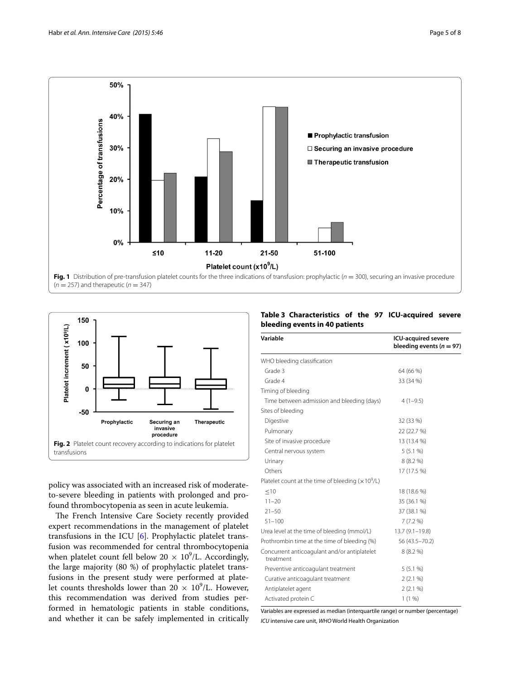

<span id="page-4-0"></span>

<span id="page-4-1"></span>policy was associated with an increased risk of moderateto-severe bleeding in patients with prolonged and profound thrombocytopenia as seen in acute leukemia.

The French Intensive Care Society recently provided expert recommendations in the management of platelet transfusions in the ICU [\[6](#page-6-5)]. Prophylactic platelet transfusion was recommended for central thrombocytopenia when platelet count fell below  $20 \times 10^9$ /L. Accordingly, the large majority (80 %) of prophylactic platelet transfusions in the present study were performed at platelet counts thresholds lower than  $20 \times 10^9$ /L. However, this recommendation was derived from studies performed in hematologic patients in stable conditions, and whether it can be safely implemented in critically

<span id="page-4-2"></span>

| Table 3 Characteristics of the 97 ICU-acquired severe |  |  |  |
|-------------------------------------------------------|--|--|--|
| bleeding events in 40 patients                        |  |  |  |

| Variable                                                  | <b>ICU-acquired severe</b><br>bleeding events ( $n = 97$ ) |
|-----------------------------------------------------------|------------------------------------------------------------|
| WHO bleeding classification                               |                                                            |
| Grade 3                                                   | 64 (66 %)                                                  |
| Grade 4                                                   | 33 (34 %)                                                  |
| Timing of bleeding                                        |                                                            |
| Time between admission and bleeding (days)                | $4(1-9.5)$                                                 |
| Sites of bleeding                                         |                                                            |
| Digestive                                                 | 32 (33 %)                                                  |
| Pulmonary                                                 | 22 (22.7 %)                                                |
| Site of invasive procedure                                | 13 (13.4 %)                                                |
| Central nervous system                                    | 5(5.1%                                                     |
| Urinary                                                   | 8(8.2%)                                                    |
| Others                                                    | 17 (17.5 %)                                                |
| Platelet count at the time of bleeding $(x 109/L)$        |                                                            |
| < 10                                                      | 18 (18.6 %)                                                |
| $11 - 20$                                                 | 35 (36.1 %)                                                |
| $21 - 50$                                                 | 37 (38.1 %)                                                |
| $51 - 100$                                                | 7(7.2%)                                                    |
| Urea level at the time of bleeding (mmol/L)               | $13.7(9.1 - 19.8)$                                         |
| Prothrombin time at the time of bleeding (%)              | 56 (43.5 - 70.2)                                           |
| Concurrent anticoagulant and/or antiplatelet<br>treatment | 8 (8.2 %)                                                  |
| Preventive anticoagulant treatment                        | 5(5.1%                                                     |
| Curative anticoagulant treatment                          | 2(2.1%                                                     |
| Antiplatelet agent                                        | 2(2.1%                                                     |
| Activated protein C                                       | 1(1%)                                                      |

Variables are expressed as median (interquartile range) or number (percentage) *ICU* intensive care unit, *WHO* World Health Organization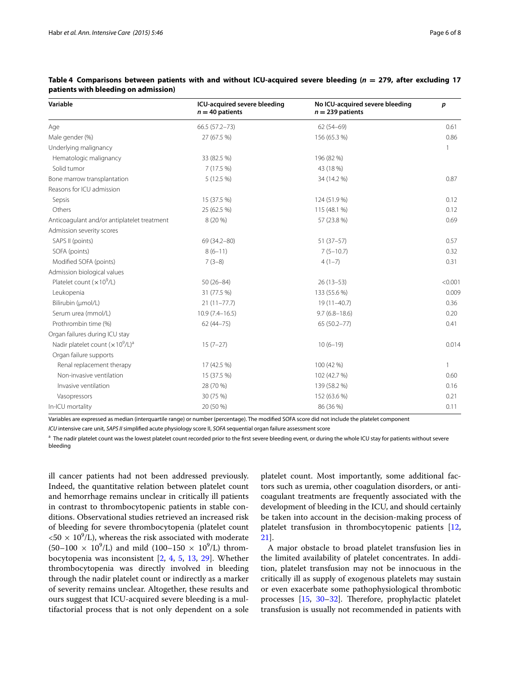| Variable                                    | <b>ICU-acquired severe bleeding</b><br>$n = 40$ patients | No ICU-acquired severe bleeding<br>$n = 239$ patients | p       |
|---------------------------------------------|----------------------------------------------------------|-------------------------------------------------------|---------|
| Age                                         | 66.5 (57.2-73)                                           | $62(54-69)$                                           | 0.61    |
| Male gender (%)                             | 27 (67.5 %)                                              | 156 (65.3 %)                                          | 0.86    |
| Underlying malignancy                       |                                                          |                                                       |         |
| Hematologic malignancy                      | 33 (82.5 %)                                              | 196 (82 %)                                            |         |
| Solid tumor                                 | 7(17.5%)                                                 | 43 (18 %)                                             |         |
| Bone marrow transplantation                 | 5 (12.5 %)                                               | 34 (14.2 %)                                           | 0.87    |
| Reasons for ICU admission                   |                                                          |                                                       |         |
| Sepsis                                      | 15 (37.5 %)                                              | 124 (51.9 %)                                          | 0.12    |
| Others                                      | 25 (62.5 %)                                              | 115 (48.1 %)                                          | 0.12    |
| Anticoagulant and/or antiplatelet treatment | 8 (20 %)                                                 | 57 (23.8 %)                                           | 0.69    |
| Admission severity scores                   |                                                          |                                                       |         |
| SAPS II (points)                            | 69 (34.2-80)                                             | $51(37-57)$                                           | 0.57    |
| SOFA (points)                               | $8(6-11)$                                                | $7(5-10.7)$                                           | 0.32    |
| Modified SOFA (points)                      | $7(3-8)$                                                 | $4(1-7)$                                              | 0.31    |
| Admission biological values                 |                                                          |                                                       |         |
| Platelet count $(x 10^9/L)$                 | $50(26 - 84)$                                            | $26(13-53)$                                           | < 0.001 |
| Leukopenia                                  | 31 (77.5 %)                                              | 133 (55.6 %)                                          | 0.009   |
| Bilirubin (umol/L)                          | $21(11-77.7)$                                            | $19(11 - 40.7)$                                       | 0.36    |
| Serum urea (mmol/L)                         | $10.9(7.4 - 16.5)$                                       | $9.7(6.8 - 18.6)$                                     | 0.20    |
| Prothrombin time (%)                        | $62(44 - 75)$                                            | 65 (50.2-77)                                          | 0.41    |
| Organ failures during ICU stay              |                                                          |                                                       |         |
| Nadir platelet count $(x 10^9/L)^a$         | $15(7-27)$                                               | $10(6-19)$                                            | 0.014   |
| Organ failure supports                      |                                                          |                                                       |         |
| Renal replacement therapy                   | 17 (42.5 %)                                              | 100 (42 %)                                            | 1       |
| Non-invasive ventilation                    | 15 (37.5 %)                                              | 102 (42.7 %)                                          | 0.60    |
| Invasive ventilation                        | 28 (70 %)                                                | 139 (58.2 %)                                          | 0.16    |
| Vasopressors                                | 30 (75 %)                                                | 152 (63.6 %)                                          | 0.21    |
| In-ICU mortality                            | 20 (50 %)                                                | 86 (36 %)                                             | 0.11    |

<span id="page-5-0"></span>**Table 4 Comparisons between patients with and without ICU-acquired severe bleeding (***n* **= 279, after excluding 17 patients with bleeding on admission)**

Variables are expressed as median (interquartile range) or number (percentage). The modified SOFA score did not include the platelet component

*ICU* intensive care unit, *SAPS II* simplified acute physiology score II, *SOFA* sequential organ failure assessment score

a The nadir platelet count was the lowest platelet count recorded prior to the first severe bleeding event, or during the whole ICU stay for patients without severe bleeding

ill cancer patients had not been addressed previously. Indeed, the quantitative relation between platelet count and hemorrhage remains unclear in critically ill patients in contrast to thrombocytopenic patients in stable conditions. Observational studies retrieved an increased risk of bleeding for severe thrombocytopenia (platelet count  $<50 \times 10^9$ /L), whereas the risk associated with moderate  $(50-100 \times 10^9)$  and mild  $(100-150 \times 10^9)$  thrombocytopenia was inconsistent [[2,](#page-6-1) [4](#page-6-3), [5](#page-6-4), [13,](#page-7-13) [29\]](#page-7-14). Whether thrombocytopenia was directly involved in bleeding through the nadir platelet count or indirectly as a marker of severity remains unclear. Altogether, these results and ours suggest that ICU-acquired severe bleeding is a multifactorial process that is not only dependent on a sole

platelet count. Most importantly, some additional factors such as uremia, other coagulation disorders, or anticoagulant treatments are frequently associated with the development of bleeding in the ICU, and should certainly be taken into account in the decision-making process of platelet transfusion in thrombocytopenic patients [[12](#page-7-15), [21\]](#page-7-8).

A major obstacle to broad platelet transfusion lies in the limited availability of platelet concentrates. In addition, platelet transfusion may not be innocuous in the critically ill as supply of exogenous platelets may sustain or even exacerbate some pathophysiological thrombotic processes [\[15,](#page-7-1) [30](#page-7-16)–[32\]](#page-7-17). Therefore, prophylactic platelet transfusion is usually not recommended in patients with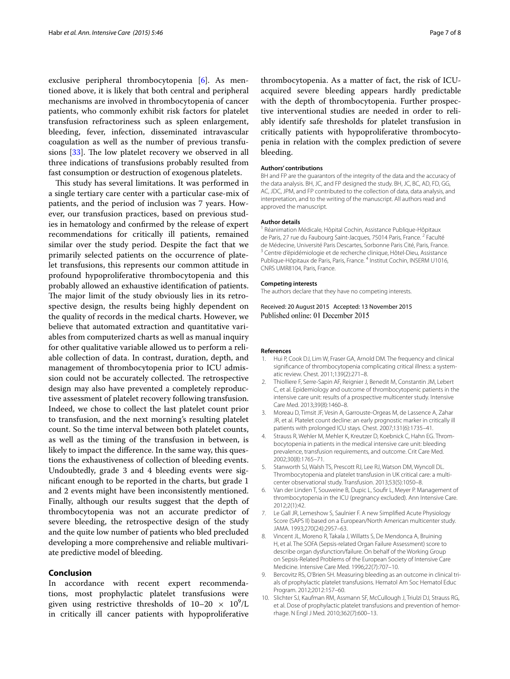exclusive peripheral thrombocytopenia [[6\]](#page-6-5). As mentioned above, it is likely that both central and peripheral mechanisms are involved in thrombocytopenia of cancer patients, who commonly exhibit risk factors for platelet transfusion refractoriness such as spleen enlargement, bleeding, fever, infection, disseminated intravascular coagulation as well as the number of previous transfusions [\[33](#page-7-18)]. The low platelet recovery we observed in all three indications of transfusions probably resulted from fast consumption or destruction of exogenous platelets.

This study has several limitations. It was performed in a single tertiary care center with a particular case-mix of patients, and the period of inclusion was 7 years. However, our transfusion practices, based on previous studies in hematology and confirmed by the release of expert recommendations for critically ill patients, remained similar over the study period. Despite the fact that we primarily selected patients on the occurrence of platelet transfusions, this represents our common attitude in profound hypoproliferative thrombocytopenia and this probably allowed an exhaustive identification of patients. The major limit of the study obviously lies in its retrospective design, the results being highly dependent on the quality of records in the medical charts. However, we believe that automated extraction and quantitative variables from computerized charts as well as manual inquiry for other qualitative variable allowed us to perform a reliable collection of data. In contrast, duration, depth, and management of thrombocytopenia prior to ICU admission could not be accurately collected. The retrospective design may also have prevented a completely reproductive assessment of platelet recovery following transfusion. Indeed, we chose to collect the last platelet count prior to transfusion, and the next morning's resulting platelet count. So the time interval between both platelet counts, as well as the timing of the transfusion in between, is likely to impact the difference. In the same way, this questions the exhaustiveness of collection of bleeding events. Undoubtedly, grade 3 and 4 bleeding events were significant enough to be reported in the charts, but grade 1 and 2 events might have been inconsistently mentioned. Finally, although our results suggest that the depth of thrombocytopenia was not an accurate predictor of severe bleeding, the retrospective design of the study and the quite low number of patients who bled precluded developing a more comprehensive and reliable multivariate predictive model of bleeding.

# **Conclusion**

In accordance with recent expert recommendations, most prophylactic platelet transfusions were given using restrictive thresholds of  $10-20 \times 10^9$ /L in critically ill cancer patients with hypoproliferative

thrombocytopenia. As a matter of fact, the risk of ICUacquired severe bleeding appears hardly predictable with the depth of thrombocytopenia. Further prospective interventional studies are needed in order to reliably identify safe thresholds for platelet transfusion in critically patients with hypoproliferative thrombocytopenia in relation with the complex prediction of severe bleeding.

## **Authors' contributions**

BH and FP are the guarantors of the integrity of the data and the accuracy of the data analysis. BH, JC, and FP designed the study. BH, JC, BC, AD, FD, GG, AC, JDC, JPM, and FP contributed to the collection of data, data analysis, and interpretation, and to the writing of the manuscript. All authors read and approved the manuscript.

#### **Author details**

<sup>1</sup> Réanimation Médicale, Hôpital Cochin, Assistance Publique-Hôpitaux de Paris, 27 rue du Faubourg Saint‑Jacques, 75014 Paris, France. 2 Faculté de Médecine, Université Paris Descartes, Sorbonne Paris Cité, Paris, France. <sup>3</sup> Centre d'épidémiologie et de recherche clinique, Hôtel-Dieu, Assistance Publique-Hôpitaux de Paris, Paris, France.<sup>4</sup> Institut Cochin, INSERM U1016, CNRS UMR8104, Paris, France.

#### **Competing interests**

The authors declare that they have no competing interests.

Received: 20 August 2015 Accepted: 13 November 2015 Published online: 01 December 2015

#### **References**

- <span id="page-6-0"></span>1. Hui P, Cook DJ, Lim W, Fraser GA, Arnold DM. The frequency and clinical significance of thrombocytopenia complicating critical illness: a systematic review. Chest. 2011;139(2):271–8.
- <span id="page-6-1"></span>2. Thiolliere F, Serre-Sapin AF, Reignier J, Benedit M, Constantin JM, Lebert C, et al. Epidemiology and outcome of thrombocytopenic patients in the intensive care unit: results of a prospective multicenter study. Intensive Care Med. 2013;39(8):1460–8.
- <span id="page-6-2"></span>3. Moreau D, Timsit JF, Vesin A, Garrouste-Orgeas M, de Lassence A, Zahar JR, et al. Platelet count decline: an early prognostic marker in critically ill patients with prolonged ICU stays. Chest. 2007;131(6):1735–41.
- <span id="page-6-3"></span>4. Strauss R, Wehler M, Mehler K, Kreutzer D, Koebnick C, Hahn EG. Thrombocytopenia in patients in the medical intensive care unit: bleeding prevalence, transfusion requirements, and outcome. Crit Care Med. 2002;30(8):1765–71.
- <span id="page-6-4"></span>5. Stanworth SJ, Walsh TS, Prescott RJ, Lee RJ, Watson DM, Wyncoll DL. Thrombocytopenia and platelet transfusion in UK critical care: a multicenter observational study. Transfusion. 2013;53(5):1050–8.
- <span id="page-6-5"></span>6. Van der Linden T, Souweine B, Dupic L, Soufir L, Meyer P. Management of thrombocytopenia in the ICU (pregnancy excluded). Ann Intensive Care. 2012;2(1):42.
- <span id="page-6-6"></span>7. Le Gall JR, Lemeshow S, Saulnier F. A new Simplified Acute Physiology Score (SAPS II) based on a European/North American multicenter study. JAMA. 1993;270(24):2957–63.
- <span id="page-6-7"></span>8. Vincent JL, Moreno R, Takala J, Willatts S, De Mendonca A, Bruining H, et al. The SOFA (Sepsis-related Organ Failure Assessment) score to describe organ dysfunction/failure. On behalf of the Working Group on Sepsis-Related Problems of the European Society of Intensive Care Medicine. Intensive Care Med. 1996;22(7):707–10.
- <span id="page-6-8"></span>Bercovitz RS, O'Brien SH. Measuring bleeding as an outcome in clinical trials of prophylactic platelet transfusions. Hematol Am Soc Hematol Educ Program. 2012;2012:157–60.
- <span id="page-6-9"></span>10. Slichter SJ, Kaufman RM, Assmann SF, McCullough J, Triulzi DJ, Strauss RG, et al. Dose of prophylactic platelet transfusions and prevention of hemorrhage. N Engl J Med. 2010;362(7):600–13.